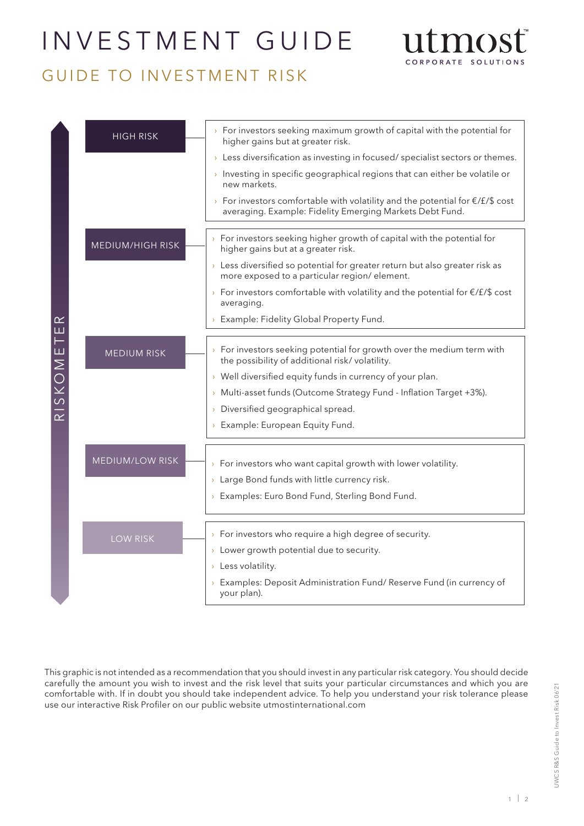# INVESTMENT GUIDE



# GUIDE TO INVESTMENT RISK

|          | <b>HIGH RISK</b>        | $\rightarrow$ For investors seeking maximum growth of capital with the potential for<br>higher gains but at greater risk.                           |
|----------|-------------------------|-----------------------------------------------------------------------------------------------------------------------------------------------------|
|          |                         | $\rightarrow$ Less diversification as investing in focused/specialist sectors or themes.                                                            |
|          |                         | Investing in specific geographical regions that can either be volatile or<br>new markets.                                                           |
|          |                         | > For investors comfortable with volatility and the potential for $\epsilon$ /£/\$ cost<br>averaging. Example: Fidelity Emerging Markets Debt Fund. |
|          |                         |                                                                                                                                                     |
|          | <b>MEDIUM/HIGH RISK</b> | For investors seeking higher growth of capital with the potential for<br>higher gains but at a greater risk.                                        |
|          |                         | $\rightarrow$ Less diversified so potential for greater return but also greater risk as<br>more exposed to a particular region/element.             |
|          |                         | > For investors comfortable with volatility and the potential for $E/E/\$$ cost<br>averaging.                                                       |
| ≃<br>ш   |                         | > Example: Fidelity Global Property Fund.                                                                                                           |
|          |                         |                                                                                                                                                     |
| RISKOMET | <b>MEDIUM RISK</b>      | $\rightarrow$ For investors seeking potential for growth over the medium term with<br>the possibility of additional risk/volatility.                |
|          |                         | $\rightarrow$ Well diversified equity funds in currency of your plan.                                                                               |
|          |                         | > Multi-asset funds (Outcome Strategy Fund - Inflation Target +3%).                                                                                 |
|          |                         | > Diversified geographical spread.                                                                                                                  |
|          |                         | > Example: European Equity Fund.                                                                                                                    |
|          | <b>MEDIUM/LOW RISK</b>  |                                                                                                                                                     |
|          |                         | $\rightarrow$ For investors who want capital growth with lower volatility.                                                                          |
|          |                         | $\rightarrow$ Large Bond funds with little currency risk.                                                                                           |
|          |                         | > Examples: Euro Bond Fund, Sterling Bond Fund.                                                                                                     |
|          |                         |                                                                                                                                                     |
|          | <b>LOW RISK</b>         | $\rightarrow$ For investors who require a high degree of security.                                                                                  |
|          |                         | > Lower growth potential due to security.                                                                                                           |
|          |                         | > Less volatility.                                                                                                                                  |
|          |                         | > Examples: Deposit Administration Fund/ Reserve Fund (in currency of<br>your plan).                                                                |

This graphic is not intended as a recommendation that you should invest in any particular risk category. You should decide carefully the amount you wish to invest and the risk level that suits your particular circumstances and which you are comfortable with. If in doubt you should take independent advice. To help you understand your risk tolerance please use our interactive Risk Profiler on our public website utmostinternational.com